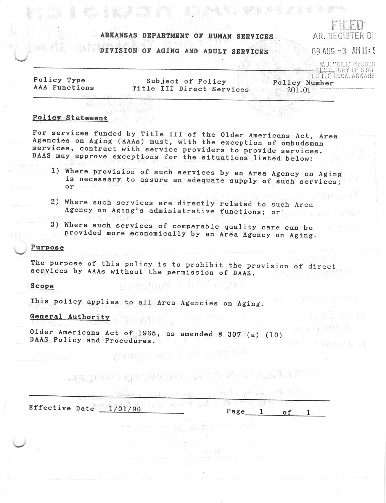## ARKANSAS DEPARTMENT OF HUMAN SERVICES

# DIVISION OF AGING AND ADULT SERVICES

AR. REGISTER DI 89 AUG  $-3$  AM  $||:$ 

W.J. "BILL" MCCUEN<br><del>ECRE</del>TARY OF STATI

suniversal

LANG T TO HA

计工作 化初始率集 报

Policy Type AAA Functions

Subject of Policy Title III Direct Services

LITTLE ROCK, ARKANS Policy Number 201.01

 $\mathbb{R}^n$  is the set of the  $\mathbb{R}^n$ 

### Policy Statement Noted

 $8.7.7$ 

**CONTROLLER** 

id vistel ladeso alst?

For services funded by Title III of the Older Americans Act, Area Agencies on Aging (AAAs) must, with the exception of ombudsman services, contract with service providers to provide services. DAAS may approve exceptions for the situations listed below:

- 1) Where provision of such services by an Area Agency on Aging is necessary to assure an adequate supply of such services;  $or$
- 2) Where such services are directly related to such Area Agency on Aging's administrative functions; or
- 3) Where such services of comparable quality care can be provided more economically by an Area Agency on Aging.

#### Purpose

The purpose of this policy is to prohibit the provision of direct services by AAAs without the permission of DAAS.

Ledal Molice Publisheri

Adoptes by Sirle Agency

#### Scope

This policy applies to all Area Agencies on Aging.

# General Authority of a with the state

Older Americans Act of 1965, as amended \$ 307 (a) (10) DAAS Policy and Procedures.

ANOTHEO OBSTRONG UA 30 MOTTAGETE

.<br>Starte in Editori

| Effective Date 1/01/90 | Page |  |  |
|------------------------|------|--|--|
|                        |      |  |  |